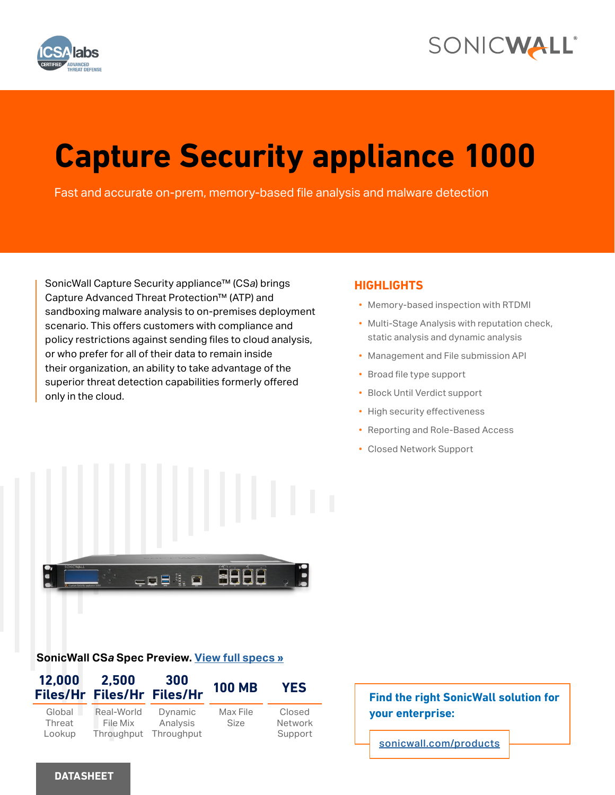



# **Capture Security appliance 1000**

Fast and accurate on-prem, memory-based file analysis and malware detection

SonicWall Capture Security appliance™ (CS*a*) brings Capture Advanced Threat Protection™ (ATP) and sandboxing malware analysis to on-premises deployment scenario. This offers customers with compliance and policy restrictions against sending files to cloud analysis, or who prefer for all of their data to remain inside their organization, an ability to take advantage of the superior threat detection capabilities formerly offered only in the cloud.

# **HIGHLIGHTS**

- Memory-based inspection with RTDMI
- Multi-Stage Analysis with reputation check, static analysis and dynamic analysis
- Management and File submission API
- Broad file type support
- Block Until Verdict support
- High security effectiveness
- Reporting and Role-Based Access
- Closed Network Support



# **SonicWall CS***a* **Spec Preview. [View full specs »](#page-4-0)**

| 12,000                     | 2.500<br>Files/Hr Files/Hr Files/Hr  | 300                               | <b>100 MB</b>           | <b>YES</b>                   |
|----------------------------|--------------------------------------|-----------------------------------|-------------------------|------------------------------|
| Global<br>Threat<br>Lookup | Real-World<br>File Mix<br>Throughput | Dynamic<br>Analysis<br>Throughput | Max File<br><b>Size</b> | Closed<br>Network<br>Support |



[sonicwall.com/products](https://www.sonicwall.com/products-a-to-z/)

# **DATASHEET**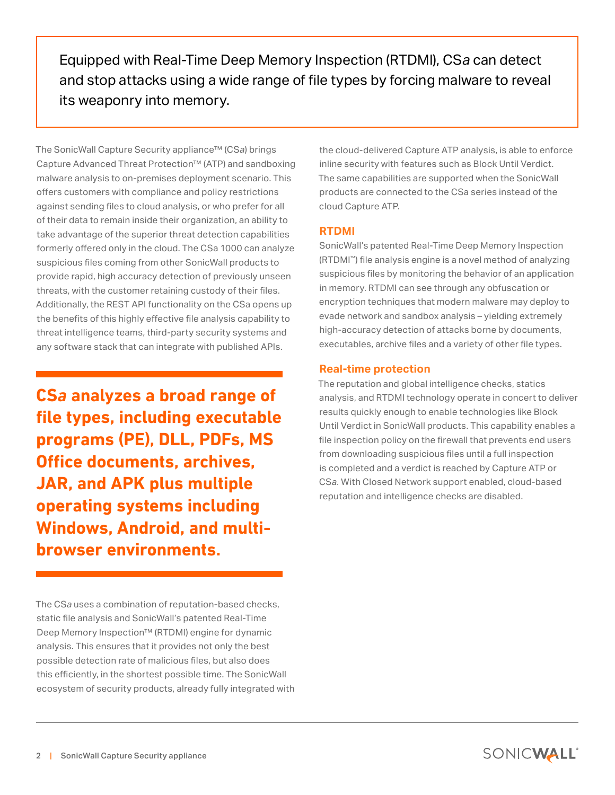Equipped with Real-Time Deep Memory Inspection (RTDMI), CS*a* can detect and stop attacks using a wide range of file types by forcing malware to reveal its weaponry into memory.

The SonicWall Capture Security appliance™ (CS*a*) brings Capture Advanced Threat Protection™ (ATP) and sandboxing malware analysis to on-premises deployment scenario. This offers customers with compliance and policy restrictions against sending files to cloud analysis, or who prefer for all of their data to remain inside their organization, an ability to take advantage of the superior threat detection capabilities formerly offered only in the cloud. The CSa 1000 can analyze suspicious files coming from other SonicWall products to provide rapid, high accuracy detection of previously unseen threats, with the customer retaining custody of their files. Additionally, the REST API functionality on the CSa opens up the benefits of this highly effective file analysis capability to threat intelligence teams, third-party security systems and any software stack that can integrate with published APIs.

**CS***a* **analyzes a broad range of file types, including executable programs (PE), DLL, PDFs, MS Office documents, archives, JAR, and APK plus multiple operating systems including Windows, Android, and multibrowser environments.**

The CS*a* uses a combination of reputation-based checks, static file analysis and SonicWall's patented Real-Time Deep Memory Inspection™ (RTDMI) engine for dynamic analysis. This ensures that it provides not only the best possible detection rate of malicious files, but also does this efficiently, in the shortest possible time. The SonicWall ecosystem of security products, already fully integrated with

the cloud-delivered Capture ATP analysis, is able to enforce inline security with features such as Block Until Verdict. The same capabilities are supported when the SonicWall products are connected to the CSa series instead of the cloud Capture ATP.

# **RTDMI**

SonicWall's patented Real-Time Deep Memory Inspection (RTDMI™) file analysis engine is a novel method of analyzing suspicious files by monitoring the behavior of an application in memory. RTDMI can see through any obfuscation or encryption techniques that modern malware may deploy to evade network and sandbox analysis – yielding extremely high-accuracy detection of attacks borne by documents, executables, archive files and a variety of other file types.

# **Real-time protection**

The reputation and global intelligence checks, statics analysis, and RTDMI technology operate in concert to deliver results quickly enough to enable technologies like Block Until Verdict in SonicWall products. This capability enables a file inspection policy on the firewall that prevents end users from downloading suspicious files until a full inspection is completed and a verdict is reached by Capture ATP or CS*a*. With Closed Network support enabled, cloud-based reputation and intelligence checks are disabled.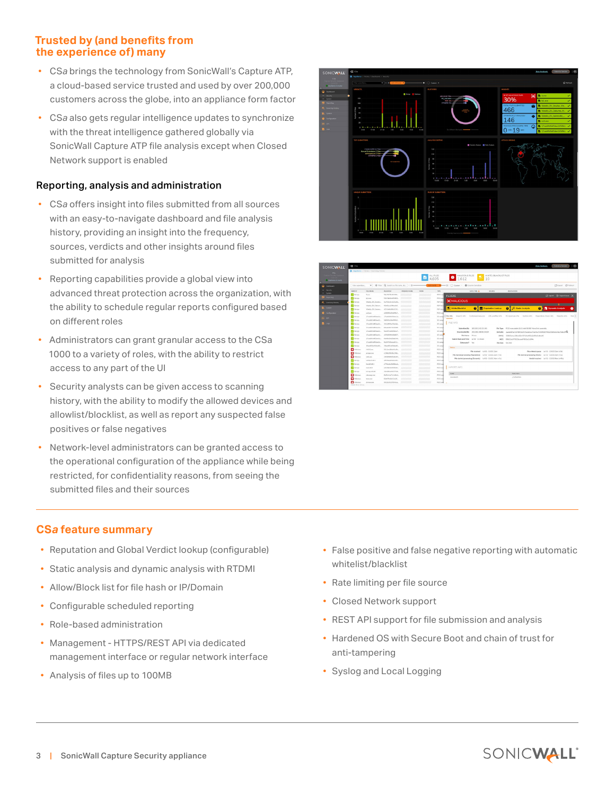# **Trusted by (and benefits from the experience of) many**

- CS*a* brings the technology from SonicWall's Capture ATP, a cloud-based service trusted and used by over 200,000 customers across the globe, into an appliance form factor
- CS*a* also gets regular intelligence updates to synchronize with the threat intelligence gathered globally via SonicWall Capture ATP file analysis except when Closed Network support is enabled

### Reporting, analysis and administration

- CS*a* offers insight into files submitted from all sources with an easy-to-navigate dashboard and file analysis history, providing an insight into the frequency, sources, verdicts and other insights around files submitted for analysis
- Reporting capabilities provide a global view into advanced threat protection across the organization, with the ability to schedule regular reports configured based on different roles
- Administrators can grant granular access to the CSa 1000 to a variety of roles, with the ability to restrict access to any part of the UI
- Security analysts can be given access to scanning history, with the ability to modify the allowed devices and allowlist/blocklist, as well as report any suspected false positives or false negatives
- Network-level administrators can be granted access to the operational configuration of the appliance while being restricted, for confidentiality reasons, from seeing the submitted files and their sources

# **CS***a* **feature summary**

- Reputation and Global Verdict lookup (configurable)
- Static analysis and dynamic analysis with RTDMI
- Allow/Block list for file hash or IP/Domain
- Configurable scheduled reporting
- Role-based administration
- Management HTTPS/REST API via dedicated management interface or regular network interface
- Analysis of files up to 100MB





- False positive and false negative reporting with automatic whitelist/blacklist
- Rate limiting per file source
- Closed Network support
- REST API support for file submission and analysis
- Hardened OS with Secure Boot and chain of trust for anti-tampering
- Syslog and Local Logging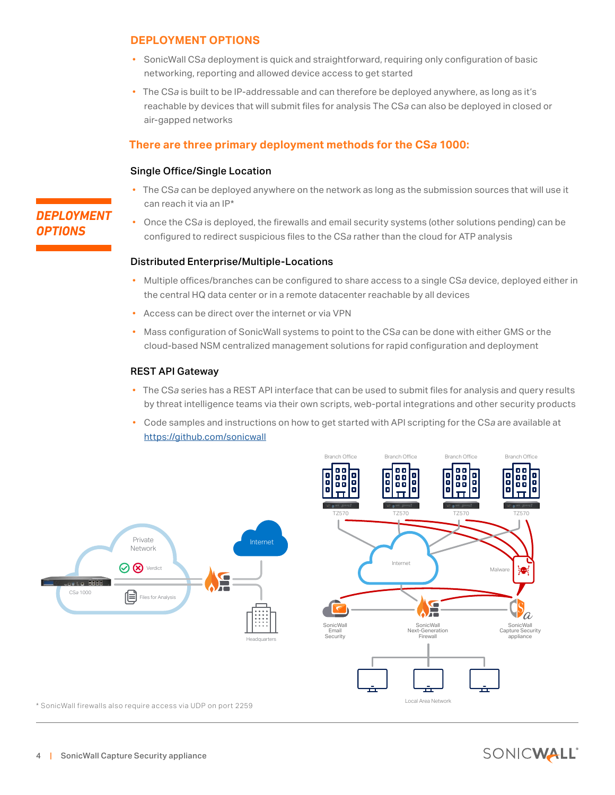# **DEPLOYMENT OPTIONS**

- SonicWall CS*a* deployment is quick and straightforward, requiring only configuration of basic networking, reporting and allowed device access to get started
- The CS*a* is built to be IP-addressable and can therefore be deployed anywhere, as long as it's reachable by devices that will submit files for analysis The CS*a* can also be deployed in closed or air-gapped networks

# **There are three primary deployment methods for the CS***a* **1000:**

#### Single Office/Single Location

- The CS*a* can be deployed anywhere on the network as long as the submission sources that will use it can reach it via an IP\*
- Once the CS*a* is deployed, the firewalls and email security systems (other solutions pending) can be configured to redirect suspicious files to the CS*a* rather than the cloud for ATP analysis

#### Distributed Enterprise/Multiple-Locations

- Multiple offices/branches can be configured to share access to a single CS*a* device, deployed either in the central HQ data center or in a remote datacenter reachable by all devices
- Access can be direct over the internet or via VPN
- Mass configuration of SonicWall systems to point to the CS*a* can be done with either GMS or the cloud-based NSM centralized management solutions for rapid configuration and deployment

#### REST API Gateway

- The CS*a* series has a REST API interface that can be used to submit files for analysis and query results by threat intelligence teams via their own scripts, web-portal integrations and other security products
- Code samples and instructions on how to get started with API scripting for the CS*a* are available at <https://github.com/sonicwall>



# *DEPLOYMENT OPTIONS*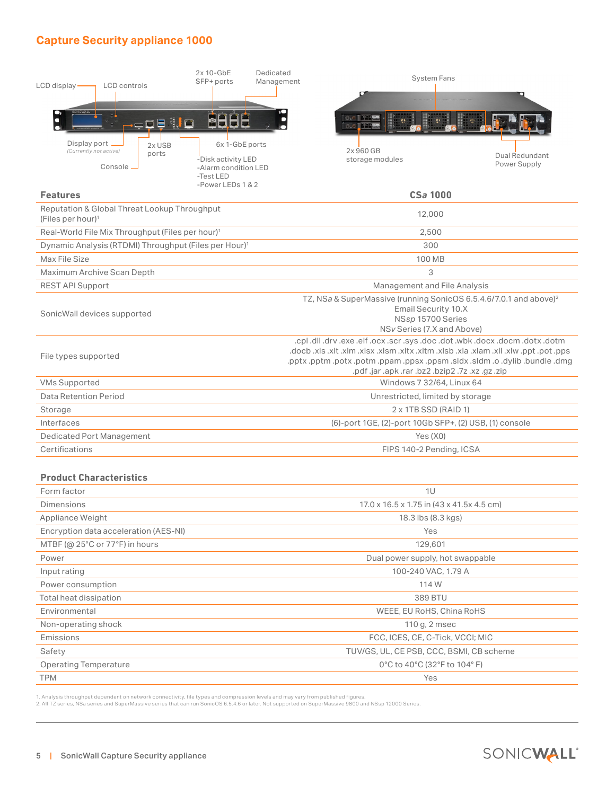# <span id="page-4-0"></span>**Capture Security appliance 1000**

| LCD display-                                                         | <b>LCD</b> controls<br>.o§ ∛¦o            | $2x 10 - GbE$<br>SFP+ ports<br><b>MEBB</b>             | Dedicated<br>Management                                                                                                                                                                                                                                                      | <b>System Fans</b><br>ः ० ।<br>$\bullet$ |                                |  |
|----------------------------------------------------------------------|-------------------------------------------|--------------------------------------------------------|------------------------------------------------------------------------------------------------------------------------------------------------------------------------------------------------------------------------------------------------------------------------------|------------------------------------------|--------------------------------|--|
| Display port                                                         | 2x USB<br>(Currently not active)<br>ports | 6x 1-GbE ports<br>-Disk activity LED                   |                                                                                                                                                                                                                                                                              | 2x 960 GB<br>storage modules             | Dual Redundant<br>Power Supply |  |
|                                                                      | Console -                                 | -Alarm condition LED<br>-Test LED<br>-Power LEDs 1 & 2 |                                                                                                                                                                                                                                                                              |                                          |                                |  |
| <b>Features</b>                                                      |                                           |                                                        |                                                                                                                                                                                                                                                                              | <b>CSa 1000</b>                          |                                |  |
| Reputation & Global Threat Lookup Throughput<br>(Files per hour) $1$ |                                           |                                                        |                                                                                                                                                                                                                                                                              | 12,000                                   |                                |  |
| Real-World File Mix Throughput (Files per hour) <sup>1</sup>         |                                           |                                                        |                                                                                                                                                                                                                                                                              | 2,500                                    |                                |  |
| Dynamic Analysis (RTDMI) Throughput (Files per Hour) <sup>1</sup>    |                                           |                                                        |                                                                                                                                                                                                                                                                              | 300                                      |                                |  |
| Max File Size                                                        |                                           |                                                        |                                                                                                                                                                                                                                                                              | 100 MB                                   |                                |  |
| Maximum Archive Scan Depth                                           |                                           |                                                        |                                                                                                                                                                                                                                                                              | 3                                        |                                |  |
| <b>REST API Support</b>                                              |                                           |                                                        |                                                                                                                                                                                                                                                                              | Management and File Analysis             |                                |  |
| SonicWall devices supported                                          |                                           |                                                        | TZ, NSa & SuperMassive (running SonicOS 6.5.4.6/7.0.1 and above) <sup>2</sup><br>Email Security 10.X<br>NSsp 15700 Series<br>NSv Series (7.X and Above)                                                                                                                      |                                          |                                |  |
| File types supported                                                 |                                           |                                                        | .cpl.dll.drv.exe.elf.ocx.scr.sys.doc.obt.wbk.docx.docm.dotx.dotm<br>.docb .xls. thx. org. wix. lix. msk. daix. dzix. mtx. xtx. max. xalx. mx. tix. alx. doob.<br>pptx.pptm.potx.potm.ppam.ppsx.ppsm.sldx.sldm.o.dylib.bundle.dmg.<br>.pdf.jar.apk.rar.bz2.bzip2.7z.xz.gz.zip |                                          |                                |  |
| <b>VMs Supported</b>                                                 |                                           |                                                        |                                                                                                                                                                                                                                                                              | Windows 7 32/64, Linux 64                |                                |  |
| Data Retention Period                                                |                                           |                                                        |                                                                                                                                                                                                                                                                              | Unrestricted, limited by storage         |                                |  |
| Storage                                                              |                                           |                                                        | 2 x 1TB SSD (RAID 1)                                                                                                                                                                                                                                                         |                                          |                                |  |
| Interfaces                                                           |                                           |                                                        | (6)-port 1GE, (2)-port 10Gb SFP+, (2) USB, (1) console                                                                                                                                                                                                                       |                                          |                                |  |
| <b>Dedicated Port Management</b>                                     |                                           |                                                        | Yes (X0)                                                                                                                                                                                                                                                                     |                                          |                                |  |

#### **Product Characteristics**

| Form factor                           | 1U                                         |  |  |
|---------------------------------------|--------------------------------------------|--|--|
| <b>Dimensions</b>                     | 17.0 x 16.5 x 1.75 in (43 x 41.5 x 4.5 cm) |  |  |
| Appliance Weight                      | 18.3 lbs (8.3 kgs)                         |  |  |
| Encryption data acceleration (AES-NI) | Yes                                        |  |  |
| MTBF ( $@$ 25°C or 77°F) in hours     | 129,601                                    |  |  |
| Power                                 | Dual power supply, hot swappable           |  |  |
| Input rating                          | 100-240 VAC, 1.79 A                        |  |  |
| Power consumption                     | 114 W                                      |  |  |
| Total heat dissipation                | 389 BTU                                    |  |  |
| Environmental                         | WEEE, EU RoHS, China RoHS                  |  |  |
| Non-operating shock                   | 110 g, 2 msec                              |  |  |
| Emissions                             | FCC, ICES, CE, C-Tick, VCCI; MIC           |  |  |
| Safety                                | TUV/GS, UL, CE PSB, CCC, BSMI, CB scheme   |  |  |
| <b>Operating Temperature</b>          | 0°C to 40°C (32°F to 104°F)                |  |  |
| <b>TPM</b>                            | Yes                                        |  |  |

Certifications FIPS 140-2 Pending, ICSA

1. Analysis throughput dependent on network connectivity, file types and compression levels and may vary from published figures.<br>2. All TZ series, NSa series and SuperMassive series that can run SonicOS 6.5.4.6 or later. N

L,